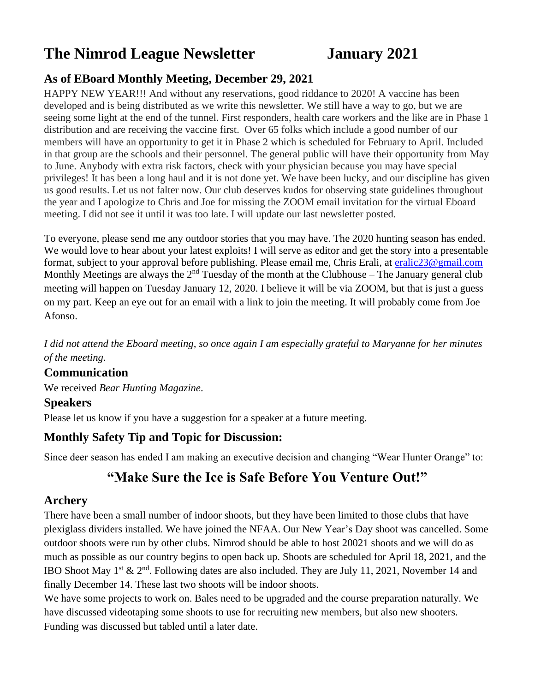# **The Nimrod League Newsletter January 2021**

## **As of EBoard Monthly Meeting, December 29, 2021**

HAPPY NEW YEAR!!! And without any reservations, good riddance to 2020! A vaccine has been developed and is being distributed as we write this newsletter. We still have a way to go, but we are seeing some light at the end of the tunnel. First responders, health care workers and the like are in Phase 1 distribution and are receiving the vaccine first. Over 65 folks which include a good number of our members will have an opportunity to get it in Phase 2 which is scheduled for February to April. Included in that group are the schools and their personnel. The general public will have their opportunity from May to June. Anybody with extra risk factors, check with your physician because you may have special privileges! It has been a long haul and it is not done yet. We have been lucky, and our discipline has given us good results. Let us not falter now. Our club deserves kudos for observing state guidelines throughout the year and I apologize to Chris and Joe for missing the ZOOM email invitation for the virtual Eboard meeting. I did not see it until it was too late. I will update our last newsletter posted.

To everyone, please send me any outdoor stories that you may have. The 2020 hunting season has ended. We would love to hear about your latest exploits! I will serve as editor and get the story into a presentable format, subject to your approval before publishing. Please email me, Chris Erali, at [eralic23@gmail.com](mailto:eralic23@gmail.com) Monthly Meetings are always the  $2<sup>nd</sup>$  Tuesday of the month at the Clubhouse – The January general club meeting will happen on Tuesday January 12, 2020. I believe it will be via ZOOM, but that is just a guess on my part. Keep an eye out for an email with a link to join the meeting. It will probably come from Joe Afonso.

*I did not attend the Eboard meeting, so once again I am especially grateful to Maryanne for her minutes of the meeting.*

#### **Communication**

We received *Bear Hunting Magazine*.

#### **Speakers**

Please let us know if you have a suggestion for a speaker at a future meeting.

## **Monthly Safety Tip and Topic for Discussion:**

Since deer season has ended I am making an executive decision and changing "Wear Hunter Orange" to:

## **"Make Sure the Ice is Safe Before You Venture Out!"**

#### **Archery**

There have been a small number of indoor shoots, but they have been limited to those clubs that have plexiglass dividers installed. We have joined the NFAA. Our New Year's Day shoot was cancelled. Some outdoor shoots were run by other clubs. Nimrod should be able to host 20021 shoots and we will do as much as possible as our country begins to open back up. Shoots are scheduled for April 18, 2021, and the IBO Shoot May 1<sup>st</sup>  $\&$  2<sup>nd</sup>. Following dates are also included. They are July 11, 2021, November 14 and finally December 14. These last two shoots will be indoor shoots.

We have some projects to work on. Bales need to be upgraded and the course preparation naturally. We have discussed videotaping some shoots to use for recruiting new members, but also new shooters. Funding was discussed but tabled until a later date.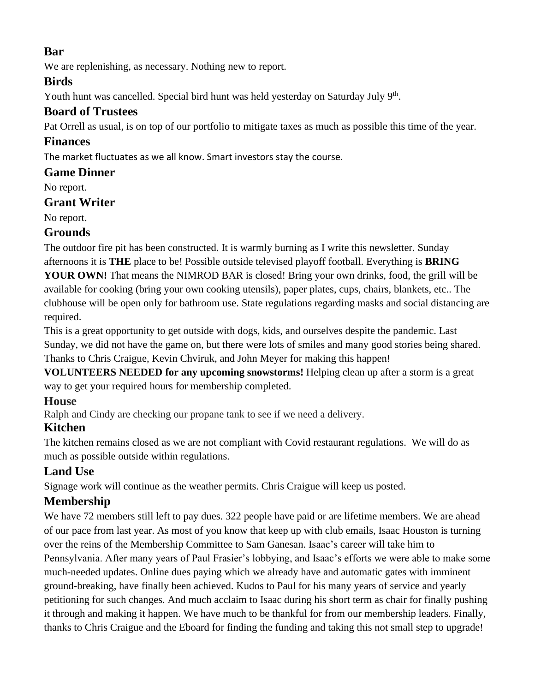## **Bar**

We are replenishing, as necessary. Nothing new to report.

## **Birds**

Youth hunt was cancelled. Special bird hunt was held yesterday on Saturday July 9<sup>th</sup>.

## **Board of Trustees**

Pat Orrell as usual, is on top of our portfolio to mitigate taxes as much as possible this time of the year.

## **Finances**

The market fluctuates as we all know. Smart investors stay the course.

## **Game Dinner**

No report.

## **Grant Writer**

No report.

## **Grounds**

The outdoor fire pit has been constructed. It is warmly burning as I write this newsletter. Sunday afternoons it is **THE** place to be! Possible outside televised playoff football. Everything is **BRING YOUR OWN!** That means the NIMROD BAR is closed! Bring your own drinks, food, the grill will be available for cooking (bring your own cooking utensils), paper plates, cups, chairs, blankets, etc.. The clubhouse will be open only for bathroom use. State regulations regarding masks and social distancing are required.

This is a great opportunity to get outside with dogs, kids, and ourselves despite the pandemic. Last Sunday, we did not have the game on, but there were lots of smiles and many good stories being shared. Thanks to Chris Craigue, Kevin Chviruk, and John Meyer for making this happen!

**VOLUNTEERS NEEDED for any upcoming snowstorms!** Helping clean up after a storm is a great way to get your required hours for membership completed.

## **House**

Ralph and Cindy are checking our propane tank to see if we need a delivery.

## **Kitchen**

The kitchen remains closed as we are not compliant with Covid restaurant regulations. We will do as much as possible outside within regulations.

## **Land Use**

Signage work will continue as the weather permits. Chris Craigue will keep us posted.

## **Membership**

We have 72 members still left to pay dues. 322 people have paid or are lifetime members. We are ahead of our pace from last year. As most of you know that keep up with club emails, Isaac Houston is turning over the reins of the Membership Committee to Sam Ganesan. Isaac's career will take him to Pennsylvania. After many years of Paul Frasier's lobbying, and Isaac's efforts we were able to make some much-needed updates. Online dues paying which we already have and automatic gates with imminent ground-breaking, have finally been achieved. Kudos to Paul for his many years of service and yearly petitioning for such changes. And much acclaim to Isaac during his short term as chair for finally pushing it through and making it happen. We have much to be thankful for from our membership leaders. Finally, thanks to Chris Craigue and the Eboard for finding the funding and taking this not small step to upgrade!